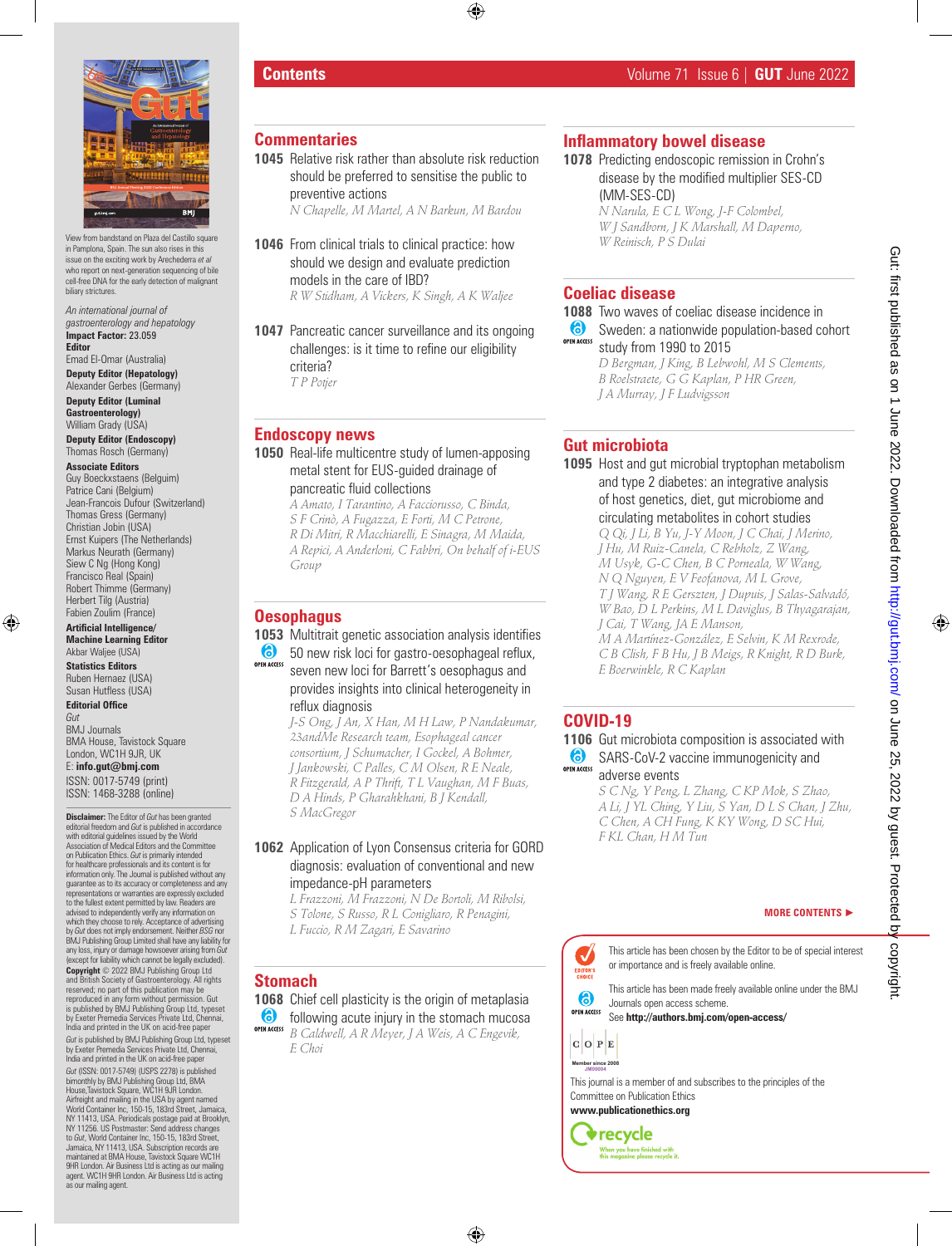

View from bandstand on Plaza del Castillo squar in Pamplona, Spain. The sun also rises in this issue on the exciting work by Arechederra *et al* who report on next-generation sequencing of bile cell-free DNA for the early detection of malignant biliary strictures.

*An international journal of gastroenterology and hepatology* **Impact Factor:** 23.059 **Editor**

Emad El-Omar (Australia) **Deputy Editor (Hepatology)**

Alexander Gerbes (Germany) **Deputy Editor (Luminal Gastroenterology)**

William Grady (USA) **Deputy Editor (Endoscopy)** Thomas Rosch (Germany)

**Associate Editors** Guy Boeckxstaens (Belguim) Patrice Cani (Belgium) Jean-Francois Dufour (Switzerland) Thomas Gress (Germany) Christian Jobin (USA) Ernst Kuipers (The Netherlands) Markus Neurath (Germany) Siew C Ng (Hong Kong) Francisco Real (Spain) Robert Thimme (Germany) Herbert Tilg (Austria) Fabien Zoulim (France)

**Artificial Intelligence/ Machine Learning Editor** Akbar Waljee (USA)

**Statistics Editors** Ruben Hernaez (USA) Susan Hutfless (USA)

**Editorial Office** *Gut*

BMJ Journals BMA House, Tavistock Square London, WC1H 9JR, UK E: **info.gut@bmj.com** ISSN: 0017-5749 (print) ISSN: 1468-3288 (online)

**Disclaimer:** The Editor of *Gut* has been granted editorial freedom and *Gut* is published in accordance with editorial guidelines issued by the World Association of Medical Editors and the Committee on Publication Ethics. *Gut* is primarily intended<br>for healthcare professionals and its content is for information only. The Journal is published without any guarantee as to its accuracy or completeness and any representations or warranties are expressly excluded to the fullest extent permitted by law. Readers are advised to independently verify any information on which they choose to rely. Acceptance of advertising by *Gut* does not imply endorsement. Neither *BSG* nor BMJ Publishing Group Limited shall have any liability for any loss, injury or damage howsoever arising from *Gut* (except for liability which cannot be legally excluded). **Copyright** © 2022 BMJ Publishing Group Ltd and British Society of Gastroenterology. All rights reserved; no part of this publication may be reproduced in any form without permission. Gut is published by BMJ Publishing Group Ltd, typeset by Exeter Premedia Services Private Ltd, Chennai, India and printed in the UK on acid-free paper *Gut* is published by BMJ Publishing Group Ltd, typeset by Exeter Premedia Services Private Ltd, Chennai, India and printed in the UK on acid-free paper *Gut* (ISSN: 0017-5749) (USPS 2278) is published bimonthly by BMJ Publishing Group Ltd, BMA House,Tavistock Square, WC1H 9JR London. Airfreight and mailing in the USA by agent named World Container Inc, 150-15, 183rd Street, Jamaica, NY 11413, USA. Periodicals postage paid at Brooklyn,<br>NY 11256. US Postmaster: Send address changes<br>to Cut, World Container Inc, 150-15, 183rd Street,<br>Jamaica, NY 11413, USA. Subscription records are<br>maintained at BMA House 9HR London. Air Business Ltd is acting as our mailing agent. WC1H 9HR London. Air Business Ltd is acting as our mailing agent.

#### **Commentaries**

**1045** Relative risk rather than absolute risk reduction should be preferred to sensitise the public to preventive actions

*N Chapelle, M Martel, A N Barkun, M Bardou*

- **1046** From clinical trials to clinical practice: how should we design and evaluate prediction models in the care of IBD? *R W Stidham, A Vickers, K Singh, A K Waljee*
- **1047** Pancreatic cancer surveillance and its ongoing challenges: is it time to refine our eligibility criteria? *T P Potjer*

# **Endoscopy news**

- **1050** Real-life multicentre study of lumen-apposing metal stent for EUS-guided drainage of pancreatic fluid collections
	- *A Amato, I Tarantino, A Facciorusso, C Binda, S F Crinò, A Fugazza, E Forti, M C Petrone, R Di Mitri, R Macchiarelli, E Sinagra, M Maida, A Repici, A Anderloni, C Fabbri, On behalf of i-EUS Group*

#### **Oesophagus**

**1053** Multitrait genetic association analysis identifies 6 50 new risk loci for gastro-oesophageal reflux, SEVEN NATES SEVEN NEW NEW YORK ISSUED TO THE VEHICLE STATES provides insights into clinical heterogeneity in reflux diagnosis

*J-S Ong, J An, X Han, M H Law, P Nandakumar, 23andMe Research team, Esophageal cancer consortium, J Schumacher, I Gockel, A Bohmer, J Jankowski, C Palles, C M Olsen, R E Neale, R Fitzgerald, A P Thrift, T L Vaughan, M F Buas, D A Hinds, P Gharahkhani, B J Kendall, S MacGregor*

#### **1062** Application of Lyon Consensus criteria for GORD diagnosis: evaluation of conventional and new impedance-pH parameters

*L Frazzoni, M Frazzoni, N De Bortoli, M Ribolsi, S Tolone, S Russo, R L Conigliaro, R Penagini, L Fuccio, R M Zagari, E Savarino*

# **Stomach**

**1068** Chief cell plasticity is the origin of metaplasia **following acute injury in the stomach mucosally OPEN ACCESS** 

*B Caldwell, A R Meyer, J A Weis, A C Engevik, E Choi*

#### **Inflammatory bowel disease**

**1078** Predicting endoscopic remission in Crohn's disease by the modified multiplier SES-CD (MM-SES-CD) *N Narula, E C L Wong, J-F Colombel,* 

*W J Sandborn, J K Marshall, M Daperno, W Reinisch, P S Dulai*

# **Coeliac disease**

**1088** Two waves of coeliac disease incidence in Sweden: a nationwide population-based cohort study from 1990 to 2015 *D Bergman, J King, B Lebwohl, M S Clements, B Roelstraete, G G Kaplan, P HR Green, J A Murray, J F Ludvigsson*

# **Gut microbiota**

**1095** Host and gut microbial tryptophan metabolism and type 2 diabetes: an integrative analysis of host genetics, diet, gut microbiome and circulating metabolites in cohort studies *Q Qi, J Li, B Yu, J-Y Moon, J C Chai, J Merino, J Hu, M Ruiz-Canela, C Rebholz, Z Wang, M Usyk, G-C Chen, B C Porneala, W Wang, N Q Nguyen, E V Feofanova, M L Grove, T J Wang, R E Gerszten, J Dupuis, J Salas-Salvadó, W Bao, D L Perkins, M L Daviglus, B Thyagarajan, J Cai, T Wang, JA E Manson, M A Martínez-González, E Selvin, K M Rexrode,* 

*C B Clish, F B Hu, J B Meigs, R Knight, R D Burk, E Boerwinkle, R C Kaplan*

# **COVID-19**

**1106** Gut microbiota composition is associated with SARS-CoV-2 vaccine immunogenicity and

**OPEN ACCESS** adverse events

*S C Ng, Y Peng, L Zhang, C KP Mok, S Zhao, A Li, J YL Ching, Y Liu, S Yan, D L S Chan, J Zhu, C Chen, A CH Fung, K KY Wong, D SC Hui, F KL Chan, H M Tun*

#### **MORE CONTENTS** ►

This article has been chosen by the Editor to be of special interest  $\checkmark$ or importance and is freely available online. EDITOR'S<br>CHOICE

This article has been made freely available online under the BMJ க Journals open access scheme. **OPEN ACCESS** 

See **http://authors.bmj.com/open-access/**

 $C$  O  $P$  E **Member since 2008 JM00004**

This journal is a member of and subscribes to the principles of the Committee on Publication Ethics

**www.publicationethics.org V**recycle When you have finished with<br>this magazine please recycle it.